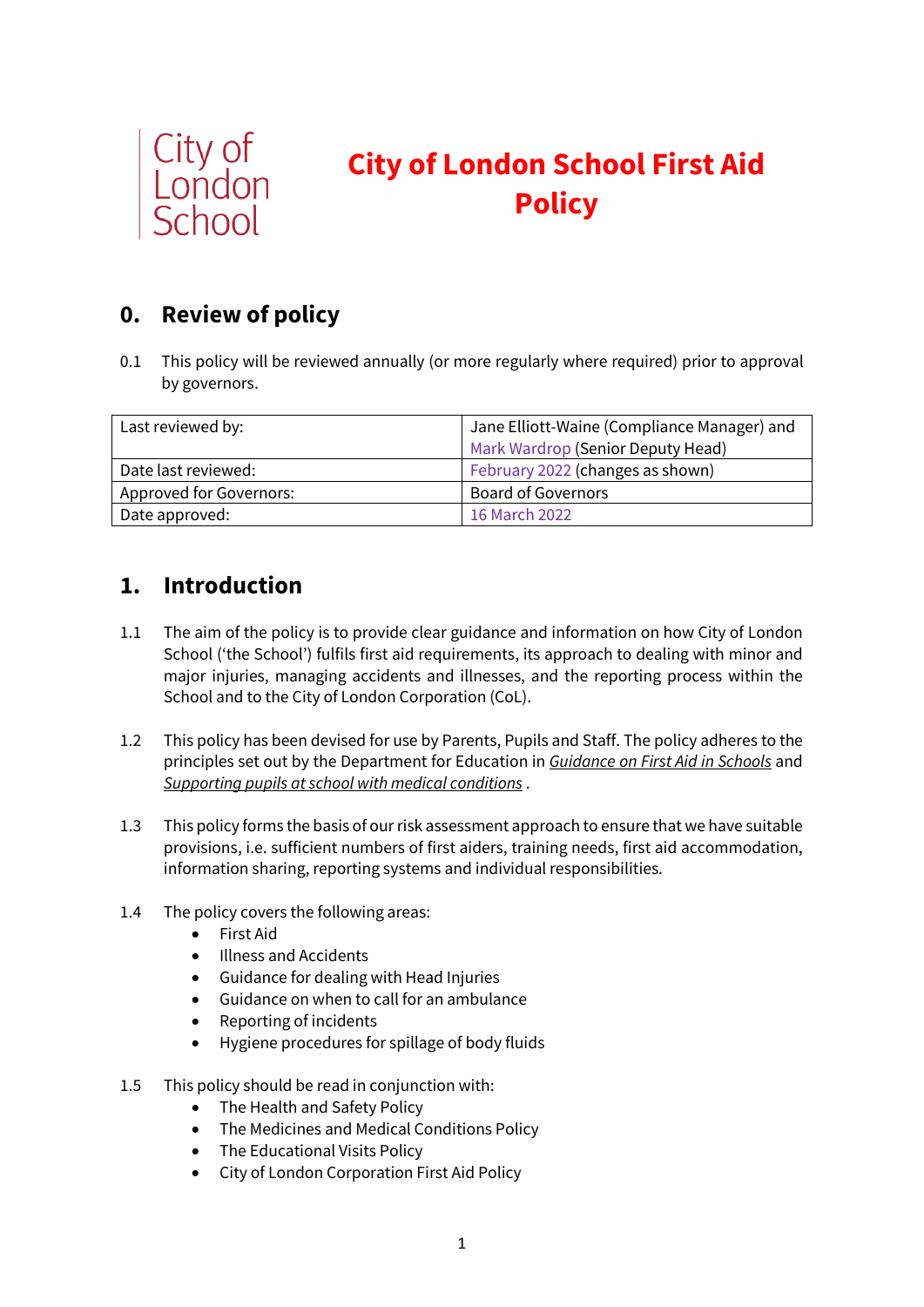

# **City of London School First Aid Policy**

## **0. Review of policy**

0.1 This policy will be reviewed annually (or more regularly where required) prior to approval by governors.

| Last reviewed by:       | Jane Elliott-Waine (Compliance Manager) and |
|-------------------------|---------------------------------------------|
|                         | Mark Wardrop (Senior Deputy Head)           |
| Date last reviewed:     | February 2022 (changes as shown)            |
| Approved for Governors: | <b>Board of Governors</b>                   |
| Date approved:          | 16 March 2022                               |

### **1. Introduction**

- 1.1 The aim of the policy is to provide clear guidance and information on how City of London School ('the School') fulfils first aid requirements, its approach to dealing with minor and major injuries, managing accidents and illnesses, and the reporting process within the School and to the City of London Corporation (CoL).
- 1.2 This policy has been devised for use by Parents, Pupils and Staff. The policy adheres to the principles set out by the Department for Education in *[Guidance on First Aid in Schools](https://www.gov.uk/government/publications/first-aid-in-schools)* and *[Supporting pupils at school with medical conditions](https://www.gov.uk/government/publications/supporting-pupils-at-school-with-medical-conditions--3)* .
- 1.3 This policy forms the basis of our risk assessment approach to ensure that we have suitable provisions, i.e. sufficient numbers of first aiders, training needs, first aid accommodation, information sharing, reporting systems and individual responsibilities.
- 1.4 The policy covers the following areas:
	- First Aid
	- Illness and Accidents
	- Guidance for dealing with Head Injuries
	- Guidance on when to call for an ambulance
	- Reporting of incidents
	- Hygiene procedures for spillage of body fluids
- 1.5 This policy should be read in conjunction with:
	- The Health and Safety Policy
	- The Medicines and Medical Conditions Policy
	- The Educational Visits Policy
	- City of London Corporation First Aid Policy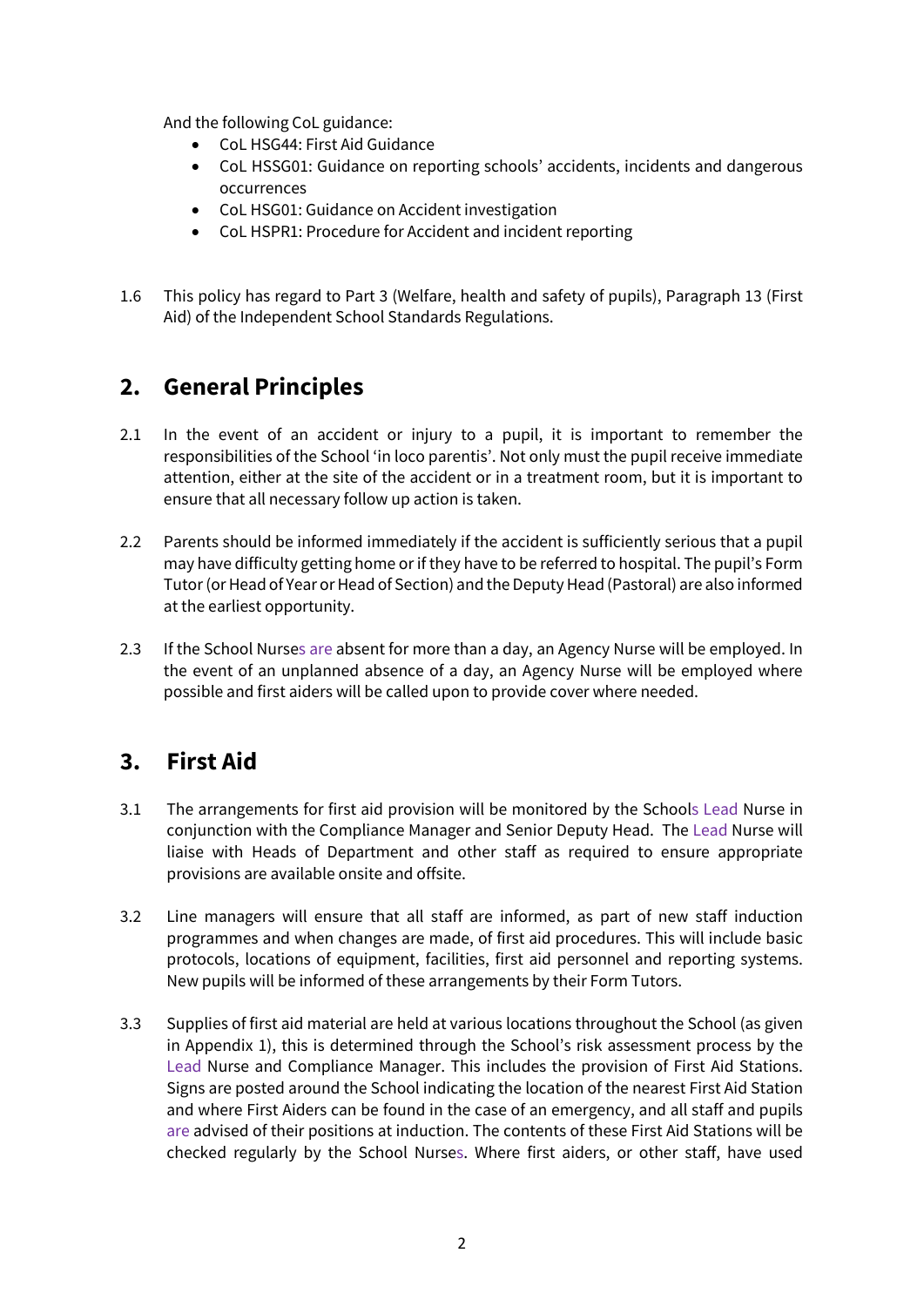And the following CoL guidance:

- CoL HSG44: First Aid Guidance
- CoL HSSG01: Guidance on reporting schools' accidents, incidents and dangerous occurrences
- CoL HSG01: Guidance on Accident investigation
- CoL HSPR1: Procedure for Accident and incident reporting
- 1.6 This policy has regard to Part 3 (Welfare, health and safety of pupils), Paragraph 13 (First Aid) of the Independent School Standards Regulations.

### **2. General Principles**

- 2.1 In the event of an accident or injury to a pupil, it is important to remember the responsibilities of the School 'in loco parentis'. Not only must the pupil receive immediate attention, either at the site of the accident or in a treatment room, but it is important to ensure that all necessary follow up action is taken.
- 2.2 Parents should be informed immediately if the accident is sufficiently serious that a pupil may have difficulty getting home or if they have to be referred to hospital. The pupil's Form Tutor (or Head of Year or Head of Section) and the Deputy Head (Pastoral) are also informed at the earliest opportunity.
- 2.3 If the School Nurses are absent for more than a day, an Agency Nurse will be employed. In the event of an unplanned absence of a day, an Agency Nurse will be employed where possible and first aiders will be called upon to provide cover where needed.

### **3. First Aid**

- 3.1 The arrangements for first aid provision will be monitored by the Schools Lead Nurse in conjunction with the Compliance Manager and Senior Deputy Head. The Lead Nurse will liaise with Heads of Department and other staff as required to ensure appropriate provisions are available onsite and offsite.
- 3.2 Line managers will ensure that all staff are informed, as part of new staff induction programmes and when changes are made, of first aid procedures. This will include basic protocols, locations of equipment, facilities, first aid personnel and reporting systems. New pupils will be informed of these arrangements by their Form Tutors.
- 3.3 Supplies of first aid material are held at various locations throughout the School (as given in Appendix 1), this is determined through the School's risk assessment process by the Lead Nurse and Compliance Manager. This includes the provision of First Aid Stations. Signs are posted around the School indicating the location of the nearest First Aid Station and where First Aiders can be found in the case of an emergency, and all staff and pupils are advised of their positions at induction. The contents of these First Aid Stations will be checked regularly by the School Nurses. Where first aiders, or other staff, have used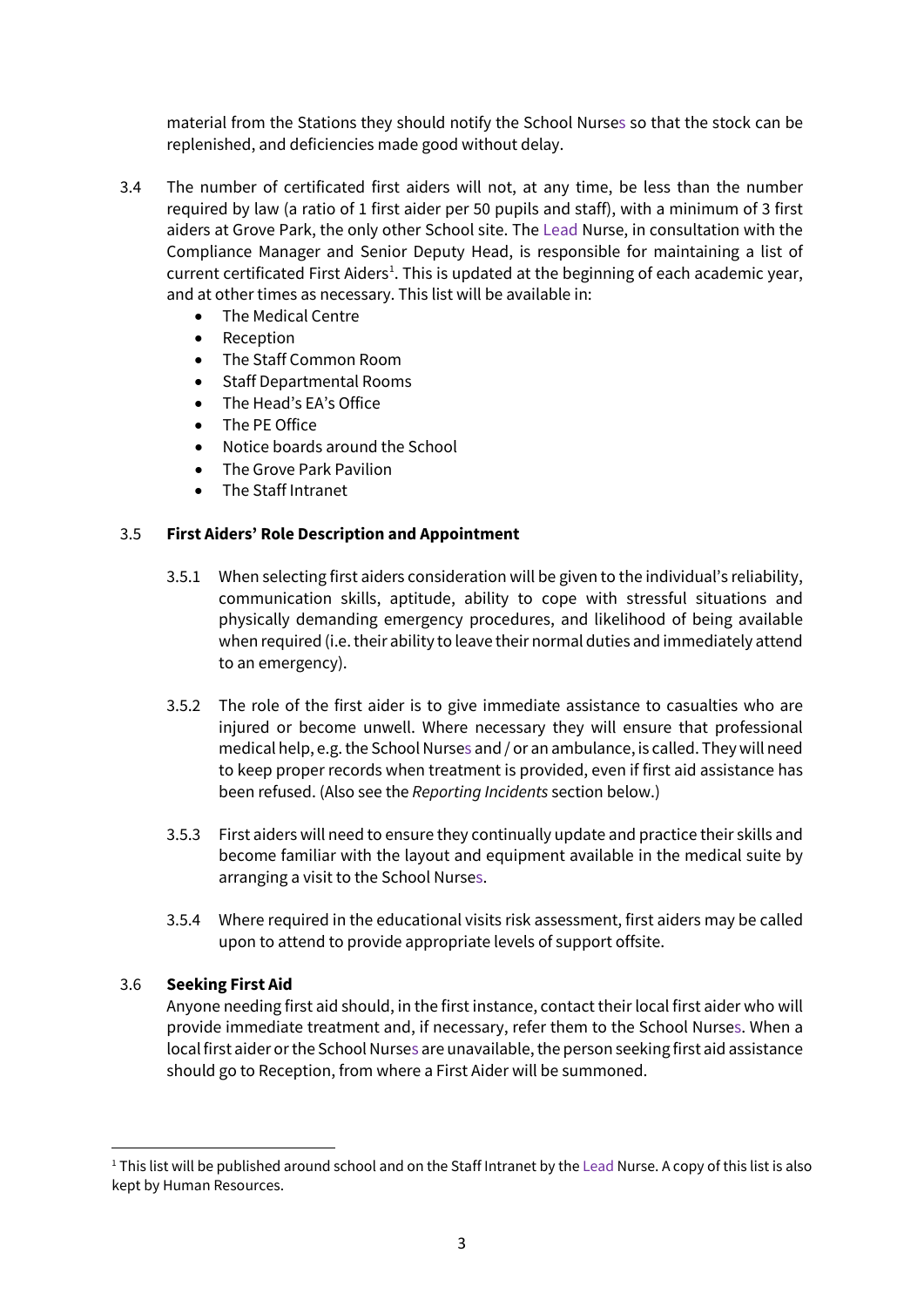material from the Stations they should notify the School Nurses so that the stock can be replenished, and deficiencies made good without delay.

- 3.4 The number of certificated first aiders will not, at any time, be less than the number required by law (a ratio of 1 first aider per 50 pupils and staff), with a minimum of 3 first aiders at Grove Park, the only other School site. The Lead Nurse, in consultation with the Compliance Manager and Senior Deputy Head, is responsible for maintaining a list of current certificated First Aiders<sup>[1](#page-2-0)</sup>. This is updated at the beginning of each academic year, and at other times as necessary. This list will be available in:
	- The Medical Centre
	- Reception
	- The Staff Common Room
	- Staff Departmental Rooms
	- The Head's EA's Office
	- The PE Office
	- Notice boards around the School
	- The Grove Park Pavilion
	- The Staff Intranet

#### 3.5 **First Aiders' Role Description and Appointment**

- 3.5.1 When selecting first aiders consideration will be given to the individual's reliability, communication skills, aptitude, ability to cope with stressful situations and physically demanding emergency procedures, and likelihood of being available when required (i.e. their ability to leave their normal duties and immediately attend to an emergency).
- 3.5.2 The role of the first aider is to give immediate assistance to casualties who are injured or become unwell. Where necessary they will ensure that professional medical help, e.g. the School Nurses and / or an ambulance, is called. They will need to keep proper records when treatment is provided, even if first aid assistance has been refused. (Also see the *Reporting Incidents* section below.)
- 3.5.3 First aiders will need to ensure they continually update and practice their skills and become familiar with the layout and equipment available in the medical suite by arranging a visit to the School Nurses.
- 3.5.4 Where required in the educational visits risk assessment, first aiders may be called upon to attend to provide appropriate levels of support offsite.

#### 3.6 **Seeking First Aid**

Anyone needing first aid should, in the first instance, contact their local first aider who will provide immediate treatment and, if necessary, refer them to the School Nurses. When a local first aider or the School Nurses are unavailable, the person seeking first aid assistance should go to Reception, from where a First Aider will be summoned.

<span id="page-2-0"></span><sup>&</sup>lt;sup>1</sup> This list will be published around school and on the Staff Intranet by the Lead Nurse. A copy of this list is also kept by Human Resources.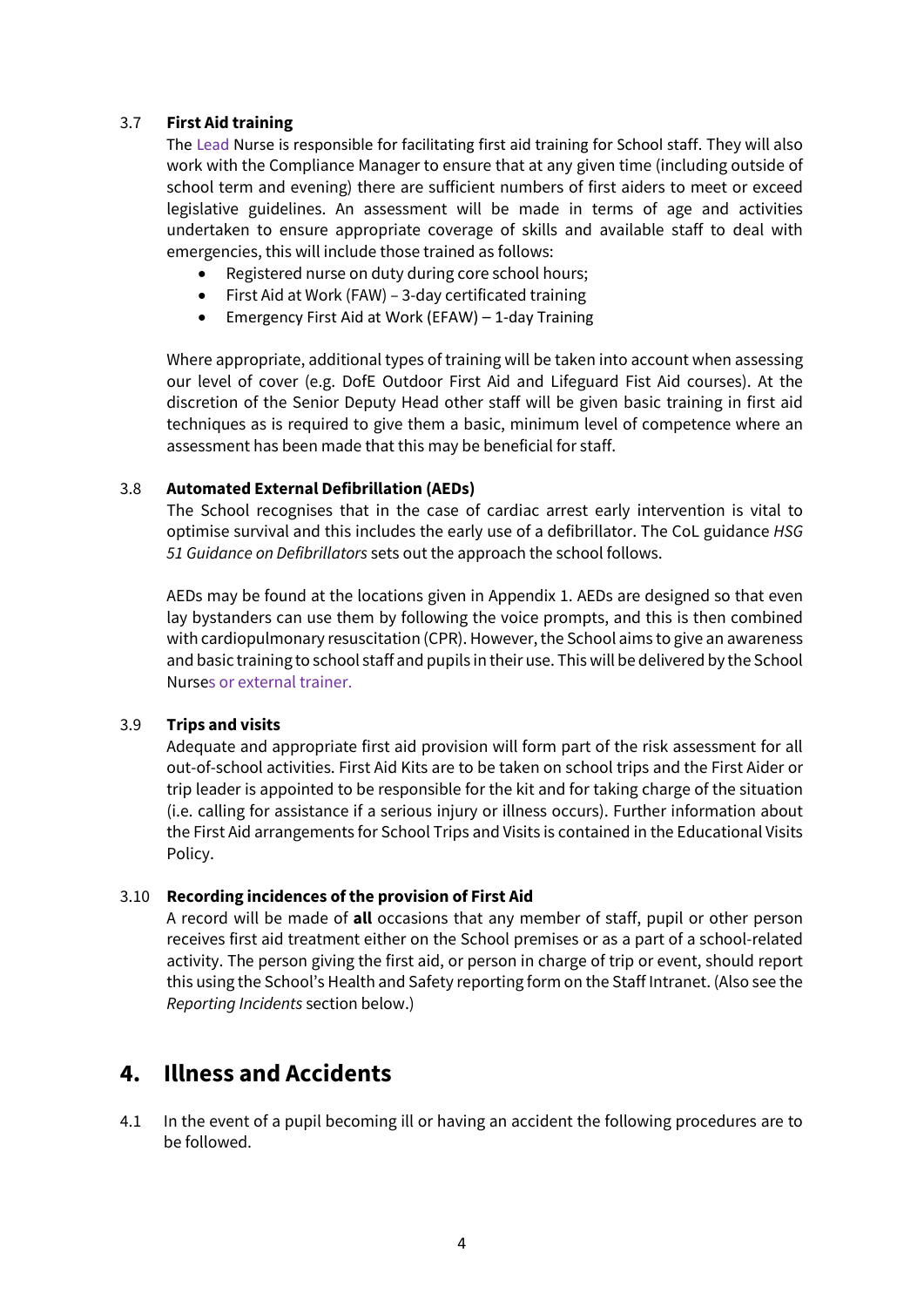#### 3.7 **First Aid training**

The Lead Nurse is responsible for facilitating first aid training for School staff. They will also work with the Compliance Manager to ensure that at any given time (including outside of school term and evening) there are sufficient numbers of first aiders to meet or exceed legislative guidelines. An assessment will be made in terms of age and activities undertaken to ensure appropriate coverage of skills and available staff to deal with emergencies, this will include those trained as follows:

- Registered nurse on duty during core school hours;
- First Aid at Work (FAW) 3-day certificated training
- Emergency First Aid at Work (EFAW) 1-day Training

Where appropriate, additional types of training will be taken into account when assessing our level of cover (e.g. DofE Outdoor First Aid and Lifeguard Fist Aid courses). At the discretion of the Senior Deputy Head other staff will be given basic training in first aid techniques as is required to give them a basic, minimum level of competence where an assessment has been made that this may be beneficial for staff.

#### 3.8 **Automated External Defibrillation (AEDs)**

The School recognises that in the case of cardiac arrest early intervention is vital to optimise survival and this includes the early use of a defibrillator. The CoL guidance *HSG 51 Guidance on Defibrillators* sets out the approach the school follows.

AEDs may be found at the locations given in Appendix 1. AEDs are designed so that even lay bystanders can use them by following the voice prompts, and this is then combined with cardiopulmonary resuscitation (CPR). However, the School aims to give an awareness and basic training to school staff and pupils in their use. This will be delivered by the School Nurses or external trainer.

#### 3.9 **Trips and visits**

Adequate and appropriate first aid provision will form part of the risk assessment for all out-of-school activities. First Aid Kits are to be taken on school trips and the First Aider or trip leader is appointed to be responsible for the kit and for taking charge of the situation (i.e. calling for assistance if a serious injury or illness occurs). Further information about the First Aid arrangements for School Trips and Visits is contained in the Educational Visits Policy.

### 3.10 **Recording incidences of the provision of First Aid**

A record will be made of **all** occasions that any member of staff, pupil or other person receives first aid treatment either on the School premises or as a part of a school-related activity. The person giving the first aid, or person in charge of trip or event, should report this using the School's Health and Safety reporting form on the Staff Intranet. (Also see the *Reporting Incidents* section below.)

### **4. Illness and Accidents**

4.1 In the event of a pupil becoming ill or having an accident the following procedures are to be followed.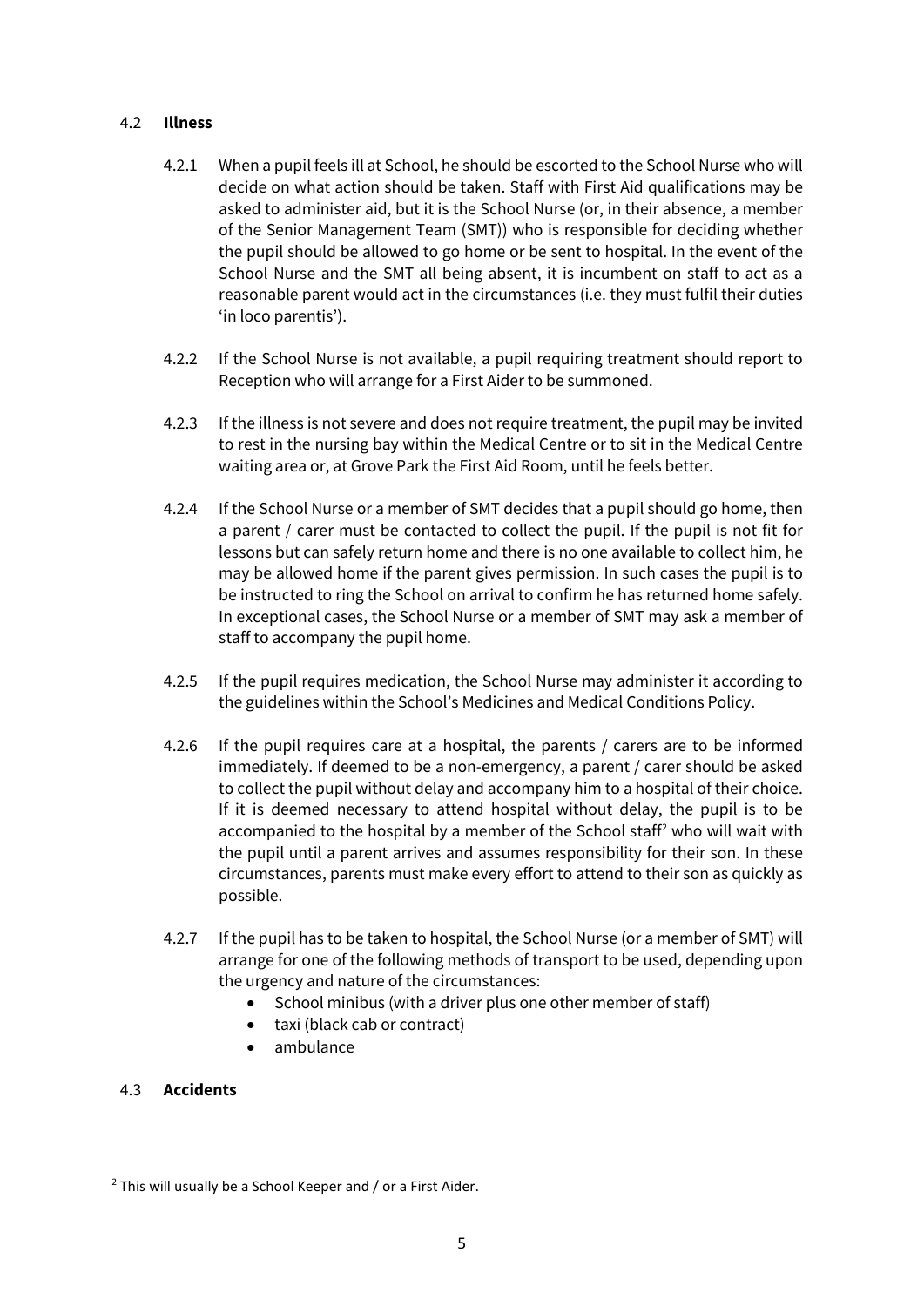#### 4.2 **Illness**

- 4.2.1 When a pupil feels ill at School, he should be escorted to the School Nurse who will decide on what action should be taken. Staff with First Aid qualifications may be asked to administer aid, but it is the School Nurse (or, in their absence, a member of the Senior Management Team (SMT)) who is responsible for deciding whether the pupil should be allowed to go home or be sent to hospital. In the event of the School Nurse and the SMT all being absent, it is incumbent on staff to act as a reasonable parent would act in the circumstances (i.e. they must fulfil their duties 'in loco parentis').
- 4.2.2 If the School Nurse is not available, a pupil requiring treatment should report to Reception who will arrange for a First Aider to be summoned.
- 4.2.3 If the illness is not severe and does not require treatment, the pupil may be invited to rest in the nursing bay within the Medical Centre or to sit in the Medical Centre waiting area or, at Grove Park the First Aid Room, until he feels better.
- 4.2.4 If the School Nurse or a member of SMT decides that a pupil should go home, then a parent / carer must be contacted to collect the pupil. If the pupil is not fit for lessons but can safely return home and there is no one available to collect him, he may be allowed home if the parent gives permission. In such cases the pupil is to be instructed to ring the School on arrival to confirm he has returned home safely. In exceptional cases, the School Nurse or a member of SMT may ask a member of staff to accompany the pupil home.
- 4.2.5 If the pupil requires medication, the School Nurse may administer it according to the guidelines within the School's Medicines and Medical Conditions Policy.
- 4.2.6 If the pupil requires care at a hospital, the parents / carers are to be informed immediately. If deemed to be a non-emergency, a parent / carer should be asked to collect the pupil without delay and accompany him to a hospital of their choice. If it is deemed necessary to attend hospital without delay, the pupil is to be accompanied to the hospital by a member of the School staff<sup>[2](#page-4-0)</sup> who will wait with the pupil until a parent arrives and assumes responsibility for their son. In these circumstances, parents must make every effort to attend to their son as quickly as possible.
- 4.2.7 If the pupil has to be taken to hospital, the School Nurse (or a member of SMT) will arrange for one of the following methods of transport to be used, depending upon the urgency and nature of the circumstances:
	- School minibus (with a driver plus one other member of staff)
	- taxi (black cab or contract)
	- ambulance

#### 4.3 **Accidents**

<span id="page-4-0"></span> $2$  This will usually be a School Keeper and  $\ell$  or a First Aider.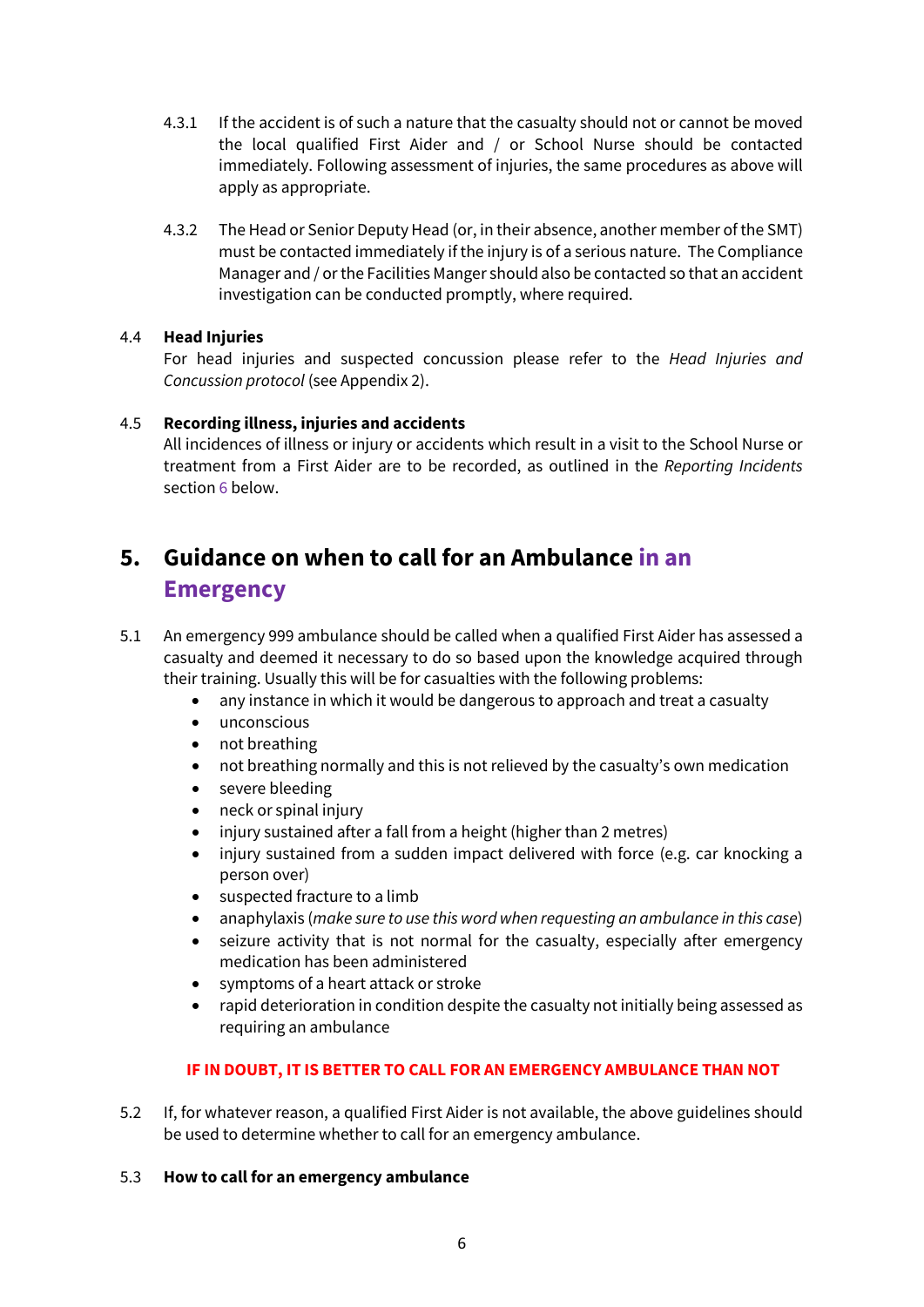- 4.3.1 If the accident is of such a nature that the casualty should not or cannot be moved the local qualified First Aider and / or School Nurse should be contacted immediately. Following assessment of injuries, the same procedures as above will apply as appropriate.
- 4.3.2 The Head or Senior Deputy Head (or, in their absence, another member of the SMT) must be contacted immediately if the injury is of a serious nature. The Compliance Manager and / or the Facilities Manger should also be contacted so that an accident investigation can be conducted promptly, where required.

### 4.4 **Head Injuries**

For head injuries and suspected concussion please refer to the *Head Injuries and Concussion protocol* (see Appendix 2).

### 4.5 **Recording illness, injuries and accidents**

All incidences of illness or injury or accidents which result in a visit to the School Nurse or treatment from a First Aider are to be recorded, as outlined in the *Reporting Incidents* section 6 below.

## **5. Guidance on when to call for an Ambulance in an Emergency**

- 5.1 An emergency 999 ambulance should be called when a qualified First Aider has assessed a casualty and deemed it necessary to do so based upon the knowledge acquired through their training. Usually this will be for casualties with the following problems:
	- any instance in which it would be dangerous to approach and treat a casualty
	- unconscious
	- not breathing
	- not breathing normally and this is not relieved by the casualty's own medication
	- severe bleeding
	- neck or spinal injury
	- injury sustained after a fall from a height (higher than 2 metres)
	- injury sustained from a sudden impact delivered with force (e.g. car knocking a person over)
	- suspected fracture to a limb
	- anaphylaxis (*make sure to use this word when requesting an ambulance in this case*)
	- seizure activity that is not normal for the casualty, especially after emergency medication has been administered
	- symptoms of a heart attack or stroke
	- rapid deterioration in condition despite the casualty not initially being assessed as requiring an ambulance

### **IF IN DOUBT, IT IS BETTER TO CALL FOR AN EMERGENCY AMBULANCE THAN NOT**

5.2 If, for whatever reason, a qualified First Aider is not available, the above guidelines should be used to determine whether to call for an emergency ambulance.

#### 5.3 **How to call for an emergency ambulance**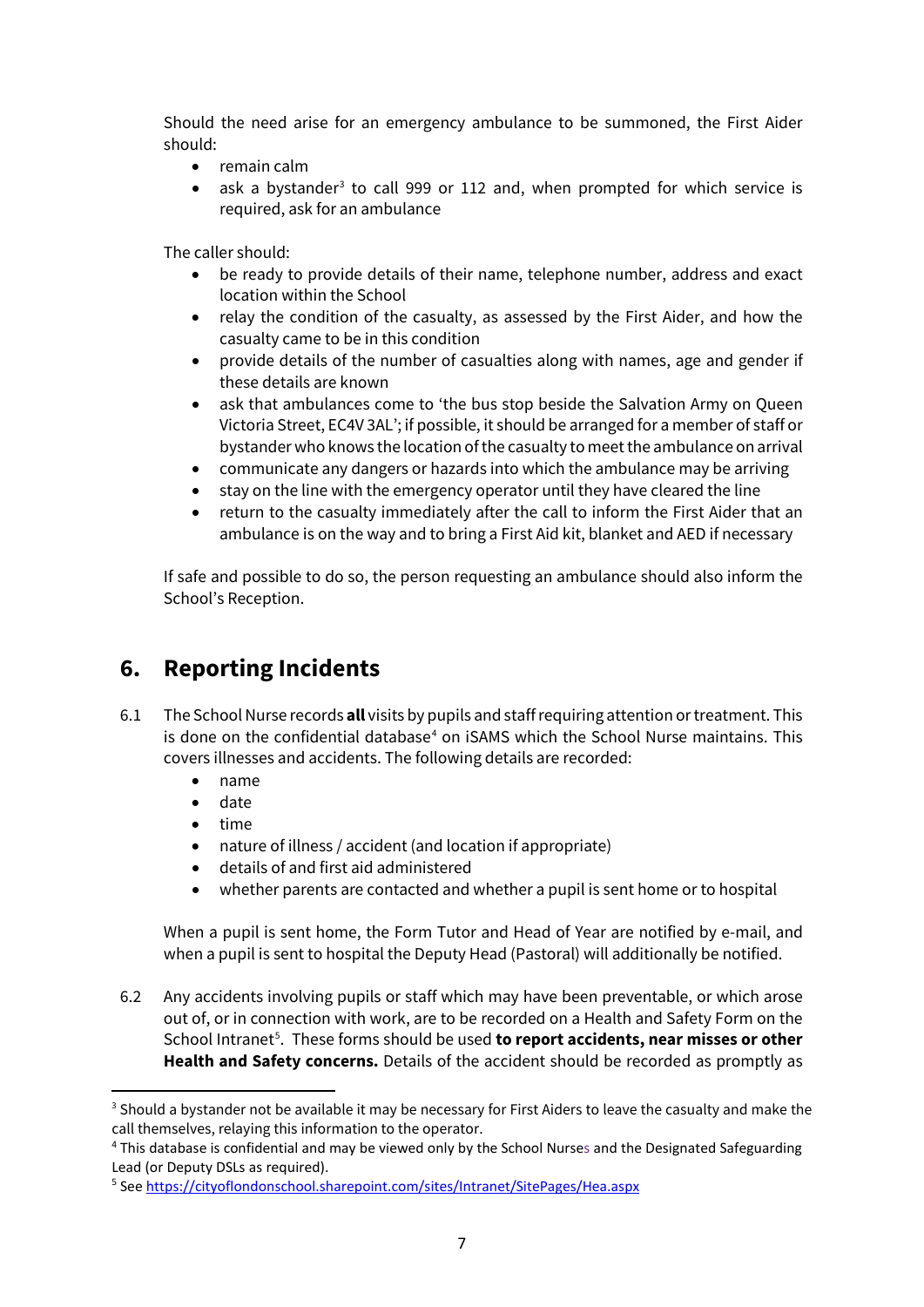Should the need arise for an emergency ambulance to be summoned, the First Aider should:

- remain calm
- ask a bystander<sup>[3](#page-6-0)</sup> to call 999 or 112 and, when prompted for which service is required, ask for an ambulance

The caller should:

- be ready to provide details of their name, telephone number, address and exact location within the School
- relay the condition of the casualty, as assessed by the First Aider, and how the casualty came to be in this condition
- provide details of the number of casualties along with names, age and gender if these details are known
- ask that ambulances come to 'the bus stop beside the Salvation Army on Queen Victoria Street, EC4V 3AL'; if possible, it should be arranged for a member of staff or bystander who knows the location of the casualty to meet the ambulance on arrival
- communicate any dangers or hazards into which the ambulance may be arriving
- stay on the line with the emergency operator until they have cleared the line
- return to the casualty immediately after the call to inform the First Aider that an ambulance is on the way and to bring a First Aid kit, blanket and AED if necessary

If safe and possible to do so, the person requesting an ambulance should also inform the School's Reception.

### **6. Reporting Incidents**

- 6.1 The School Nurse records **all** visits by pupils and staff requiring attention or treatment. This is done on the confidential database<sup>[4](#page-6-1)</sup> on iSAMS which the School Nurse maintains. This covers illnesses and accidents. The following details are recorded:
	- name
	- date
	- time
	- nature of illness / accident (and location if appropriate)
	- details of and first aid administered
	- whether parents are contacted and whether a pupil is sent home or to hospital

When a pupil is sent home, the Form Tutor and Head of Year are notified by e-mail, and when a pupil is sent to hospital the Deputy Head (Pastoral) will additionally be notified.

6.2 Any accidents involving pupils or staff which may have been preventable, or which arose out of, or in connection with work, are to be recorded on a Health and Safety Form on the School Intranet<sup>[5](#page-6-2)</sup>. These forms should be used **to report accidents, near misses or other Health and Safety concerns.** Details of the accident should be recorded as promptly as

<span id="page-6-0"></span><sup>&</sup>lt;sup>3</sup> Should a bystander not be available it may be necessary for First Aiders to leave the casualty and make the call themselves, relaying this information to the operator.

<span id="page-6-1"></span><sup>4</sup> This database is confidential and may be viewed only by the School Nurses and the Designated Safeguarding Lead (or Deputy DSLs as required).

<span id="page-6-2"></span><sup>5</sup> See<https://cityoflondonschool.sharepoint.com/sites/Intranet/SitePages/Hea.aspx>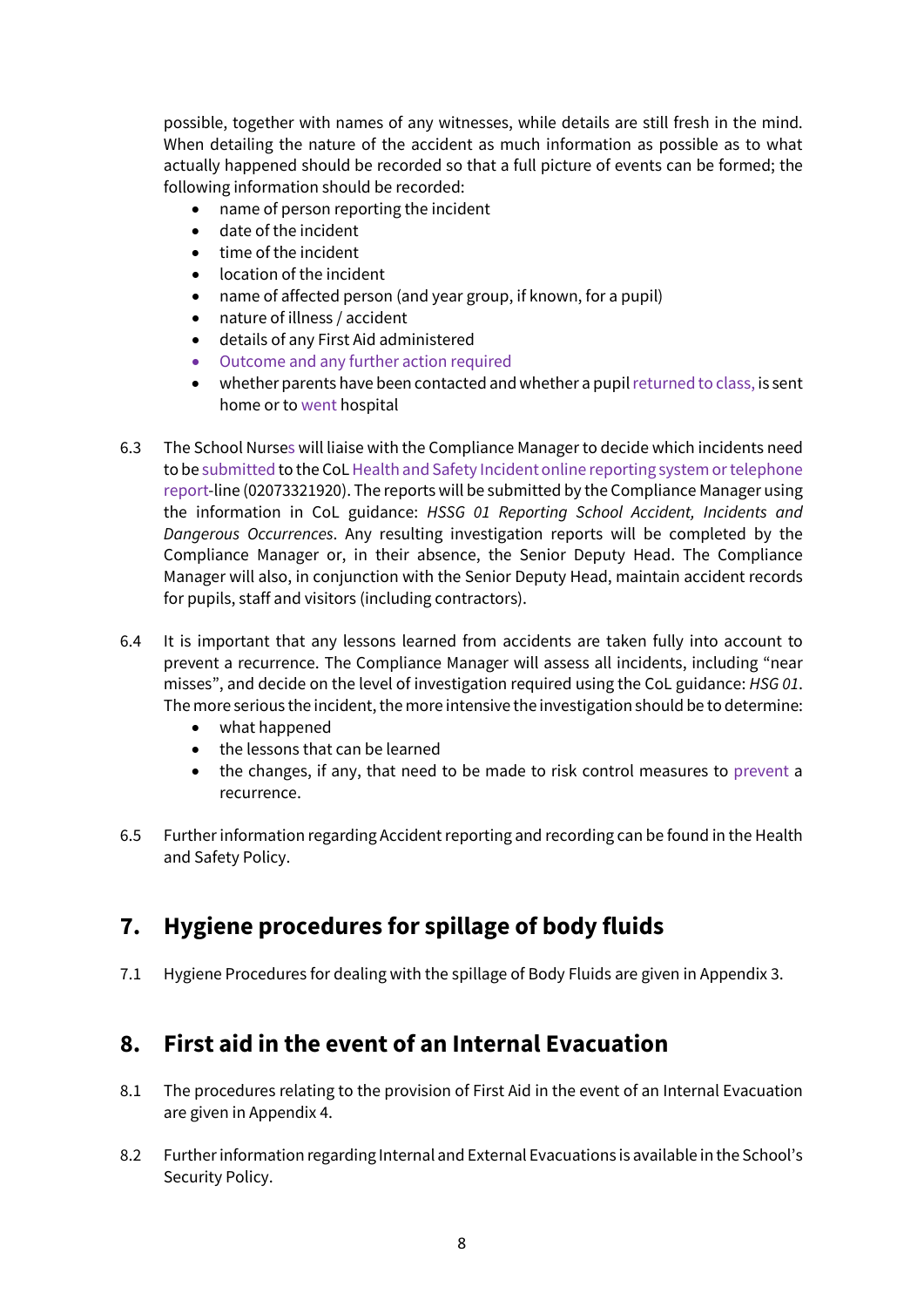possible, together with names of any witnesses, while details are still fresh in the mind. When detailing the nature of the accident as much information as possible as to what actually happened should be recorded so that a full picture of events can be formed; the following information should be recorded:

- name of person reporting the incident
- date of the incident
- time of the incident
- location of the incident
- name of affected person (and year group, if known, for a pupil)
- nature of illness / accident
- details of any First Aid administered
- Outcome and any further action required
- whether parents have been contacted and whether a pupil returned to class, is sent home or to went hospital
- 6.3 The School Nurses will liaise with the Compliance Manager to decide which incidents need to be submitted to the CoL Health and Safety Incident online reporting system or telephone report-line (02073321920). The reports will be submitted by the Compliance Manager using the information in CoL guidance: *HSSG 01 Reporting School Accident, Incidents and Dangerous Occurrences*. Any resulting investigation reports will be completed by the Compliance Manager or, in their absence, the Senior Deputy Head. The Compliance Manager will also, in conjunction with the Senior Deputy Head, maintain accident records for pupils, staff and visitors (including contractors).
- 6.4 It is important that any lessons learned from accidents are taken fully into account to prevent a recurrence. The Compliance Manager will assess all incidents, including "near misses", and decide on the level of investigation required using the CoL guidance: *HSG 01*. The more serious the incident, the more intensive the investigation should be to determine:
	- what happened
	- the lessons that can be learned
	- the changes, if any, that need to be made to risk control measures to prevent a recurrence.
- 6.5 Further information regarding Accident reporting and recording can be found in the Health and Safety Policy.

### **7. Hygiene procedures for spillage of body fluids**

7.1 Hygiene Procedures for dealing with the spillage of Body Fluids are given in Appendix 3.

### **8. First aid in the event of an Internal Evacuation**

- 8.1 The procedures relating to the provision of First Aid in the event of an Internal Evacuation are given in Appendix 4.
- 8.2 Further information regarding Internal and External Evacuations is available in the School's Security Policy.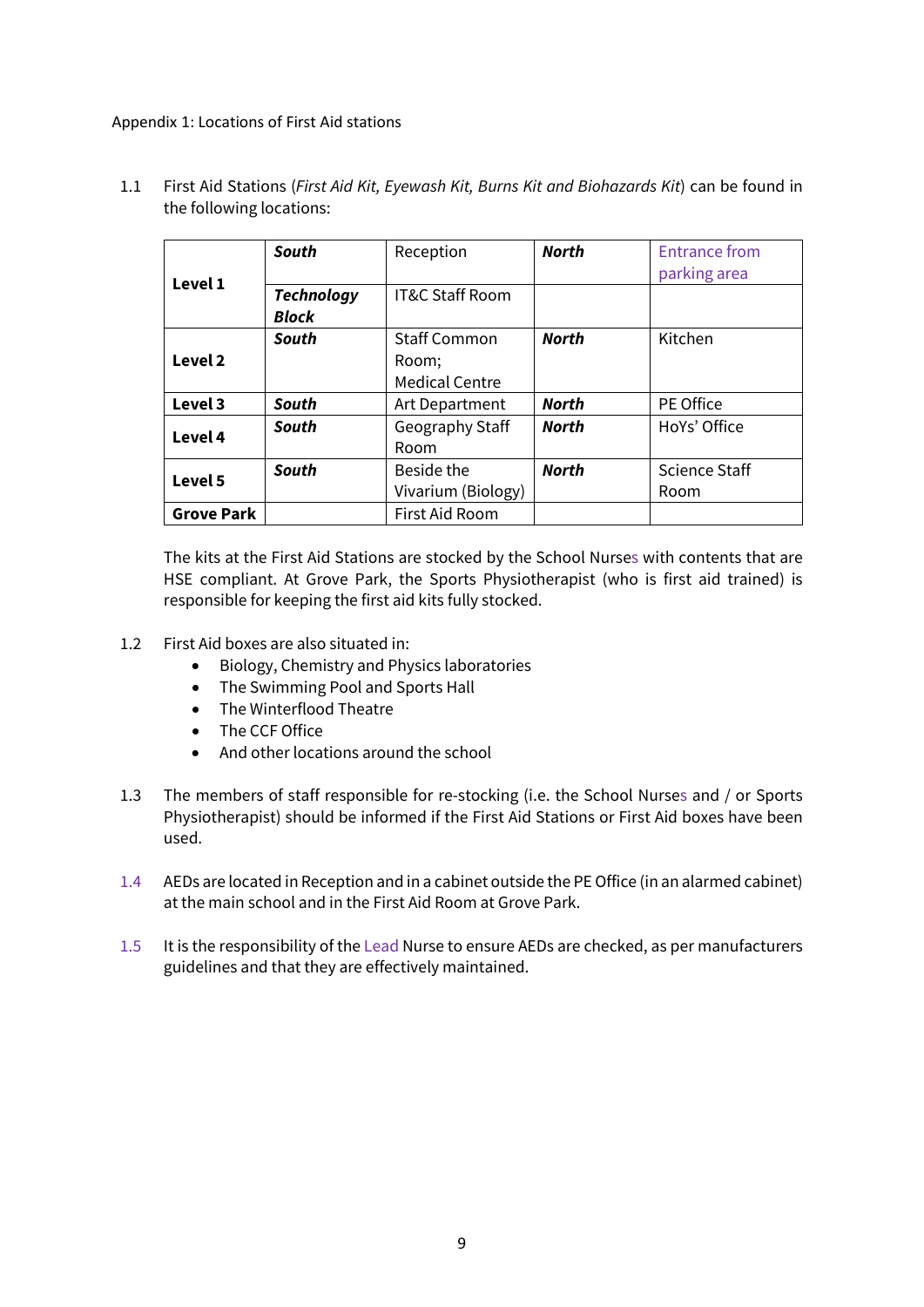#### Appendix 1: Locations of First Aid stations

1.1 First Aid Stations (*First Aid Kit, Eyewash Kit, Burns Kit and Biohazards Kit*) can be found in the following locations:

|                   | South             | Reception                  | <b>North</b> | <b>Entrance from</b> |
|-------------------|-------------------|----------------------------|--------------|----------------------|
| Level 1           |                   |                            |              | parking area         |
|                   | <b>Technology</b> | <b>IT&amp;C Staff Room</b> |              |                      |
|                   | <b>Block</b>      |                            |              |                      |
|                   | South             | <b>Staff Common</b>        | <b>North</b> | Kitchen              |
| Level 2           |                   | Room:                      |              |                      |
|                   |                   | <b>Medical Centre</b>      |              |                      |
| Level 3           | <b>South</b>      | Art Department             | <b>North</b> | PE Office            |
| Level 4           | <b>South</b>      | Geography Staff            | <b>North</b> | HoYs' Office         |
|                   |                   | Room                       |              |                      |
| Level 5           | <b>South</b>      | Beside the                 | <b>North</b> | Science Staff        |
|                   |                   | Vivarium (Biology)         |              | Room                 |
| <b>Grove Park</b> |                   | First Aid Room             |              |                      |

The kits at the First Aid Stations are stocked by the School Nurses with contents that are HSE compliant. At Grove Park, the Sports Physiotherapist (who is first aid trained) is responsible for keeping the first aid kits fully stocked.

- 1.2 First Aid boxes are also situated in:
	- Biology, Chemistry and Physics laboratories
	- The Swimming Pool and Sports Hall
	- The Winterflood Theatre
	- The CCF Office
	- And other locations around the school
- 1.3 The members of staff responsible for re-stocking (i.e. the School Nurses and / or Sports Physiotherapist) should be informed if the First Aid Stations or First Aid boxes have been used.
- 1.4 AEDs are located in Reception and in a cabinet outside the PE Office (in an alarmed cabinet) at the main school and in the First Aid Room at Grove Park.
- 1.5 It is the responsibility of the Lead Nurse to ensure AEDs are checked, as per manufacturers guidelines and that they are effectively maintained.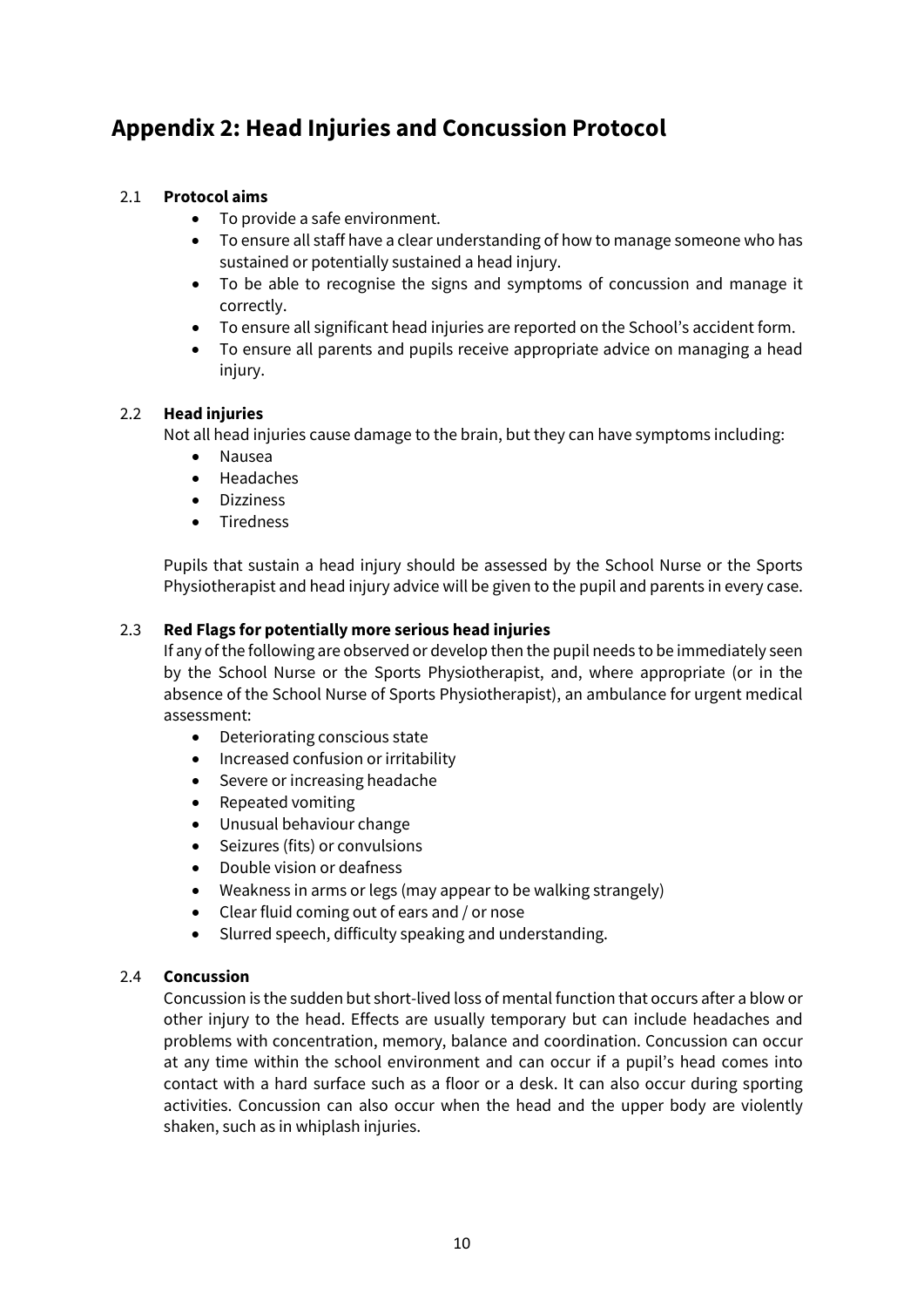## **Appendix 2: Head Injuries and Concussion Protocol**

### 2.1 **Protocol aims**

- To provide a safe environment.
- To ensure all staff have a clear understanding of how to manage someone who has sustained or potentially sustained a head injury.
- To be able to recognise the signs and symptoms of concussion and manage it correctly.
- To ensure all significant head injuries are reported on the School's accident form.
- To ensure all parents and pupils receive appropriate advice on managing a head injury.

#### 2.2 **Head injuries**

Not all head injuries cause damage to the brain, but they can have symptoms including:

- Nausea
- Headaches
- Dizziness
- **Tiredness**

Pupils that sustain a head injury should be assessed by the School Nurse or the Sports Physiotherapist and head injury advice will be given to the pupil and parents in every case.

### 2.3 **Red Flags for potentially more serious head injuries**

If any of the following are observed or develop then the pupil needs to be immediately seen by the School Nurse or the Sports Physiotherapist, and, where appropriate (or in the absence of the School Nurse of Sports Physiotherapist), an ambulance for urgent medical assessment:

- Deteriorating conscious state
- Increased confusion or irritability
- Severe or increasing headache
- Repeated vomiting
- Unusual behaviour change
- Seizures (fits) or convulsions
- Double vision or deafness
- Weakness in arms or legs (may appear to be walking strangely)
- Clear fluid coming out of ears and / or nose
- Slurred speech, difficulty speaking and understanding.

#### 2.4 **Concussion**

Concussion is the sudden but short-lived loss of mental function that occurs after a blow or other injury to the head. Effects are usually temporary but can include headaches and problems with concentration, memory, balance and coordination. Concussion can occur at any time within the school environment and can occur if a pupil's head comes into contact with a hard surface such as a floor or a desk. It can also occur during sporting activities. Concussion can also occur when the head and the upper body are violently shaken, such as in whiplash injuries.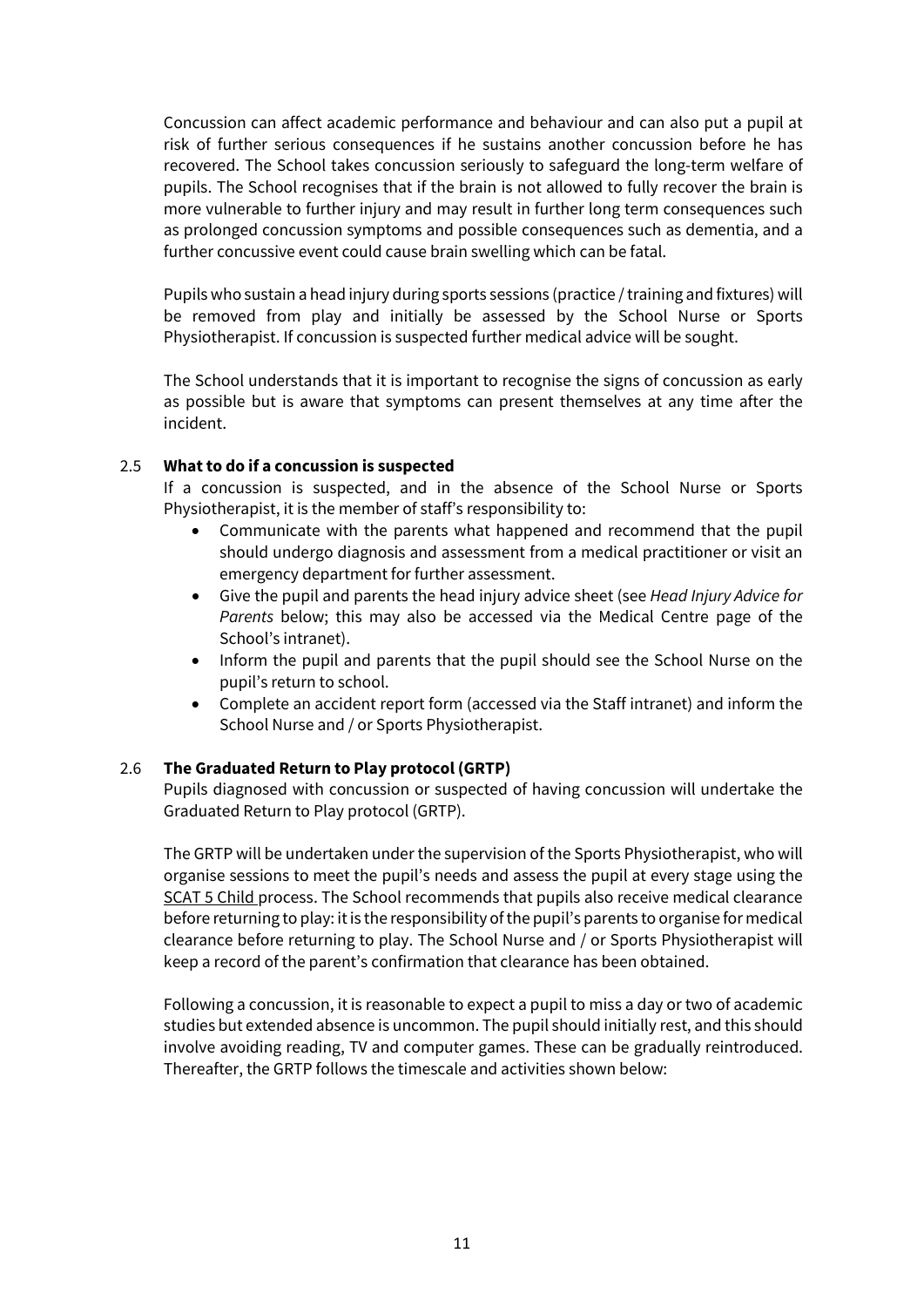Concussion can affect academic performance and behaviour and can also put a pupil at risk of further serious consequences if he sustains another concussion before he has recovered. The School takes concussion seriously to safeguard the long-term welfare of pupils. The School recognises that if the brain is not allowed to fully recover the brain is more vulnerable to further injury and may result in further long term consequences such as prolonged concussion symptoms and possible consequences such as dementia, and a further concussive event could cause brain swelling which can be fatal.

Pupils who sustain a head injury during sports sessions (practice / training and fixtures) will be removed from play and initially be assessed by the School Nurse or Sports Physiotherapist. If concussion is suspected further medical advice will be sought.

The School understands that it is important to recognise the signs of concussion as early as possible but is aware that symptoms can present themselves at any time after the incident.

#### 2.5 **What to do if a concussion is suspected**

If a concussion is suspected, and in the absence of the School Nurse or Sports Physiotherapist, it is the member of staff's responsibility to:

- Communicate with the parents what happened and recommend that the pupil should undergo diagnosis and assessment from a medical practitioner or visit an emergency department for further assessment.
- Give the pupil and parents the head injury advice sheet (see *Head Injury Advice for Parents* below; this may also be accessed via the Medical Centre page of the School's intranet).
- Inform the pupil and parents that the pupil should see the School Nurse on the pupil's return to school.
- Complete an accident report form (accessed via the Staff intranet) and inform the School Nurse and / or Sports Physiotherapist.

#### 2.6 **The Graduated Return to Play protocol (GRTP)**

Pupils diagnosed with concussion or suspected of having concussion will undertake the Graduated Return to Play protocol (GRTP).

The GRTP will be undertaken under the supervision of the Sports Physiotherapist, who will organise sessions to meet the pupil's needs and assess the pupil at every stage using the SCAT [5 Child p](https://www.englandrugby.com/dxdam/e8/e8a42b30-410f-453a-9994-ba76a1e2299e/SCAT5Child_Neutral.pdf)rocess. The School recommends that pupils also receive medical clearance before returning to play: it is the responsibility of the pupil's parents to organise for medical clearance before returning to play. The School Nurse and / or Sports Physiotherapist will keep a record of the parent's confirmation that clearance has been obtained.

Following a concussion, it is reasonable to expect a pupil to miss a day or two of academic studies but extended absence is uncommon. The pupil should initially rest, and this should involve avoiding reading, TV and computer games. These can be gradually reintroduced. Thereafter, the GRTP follows the timescale and activities shown below: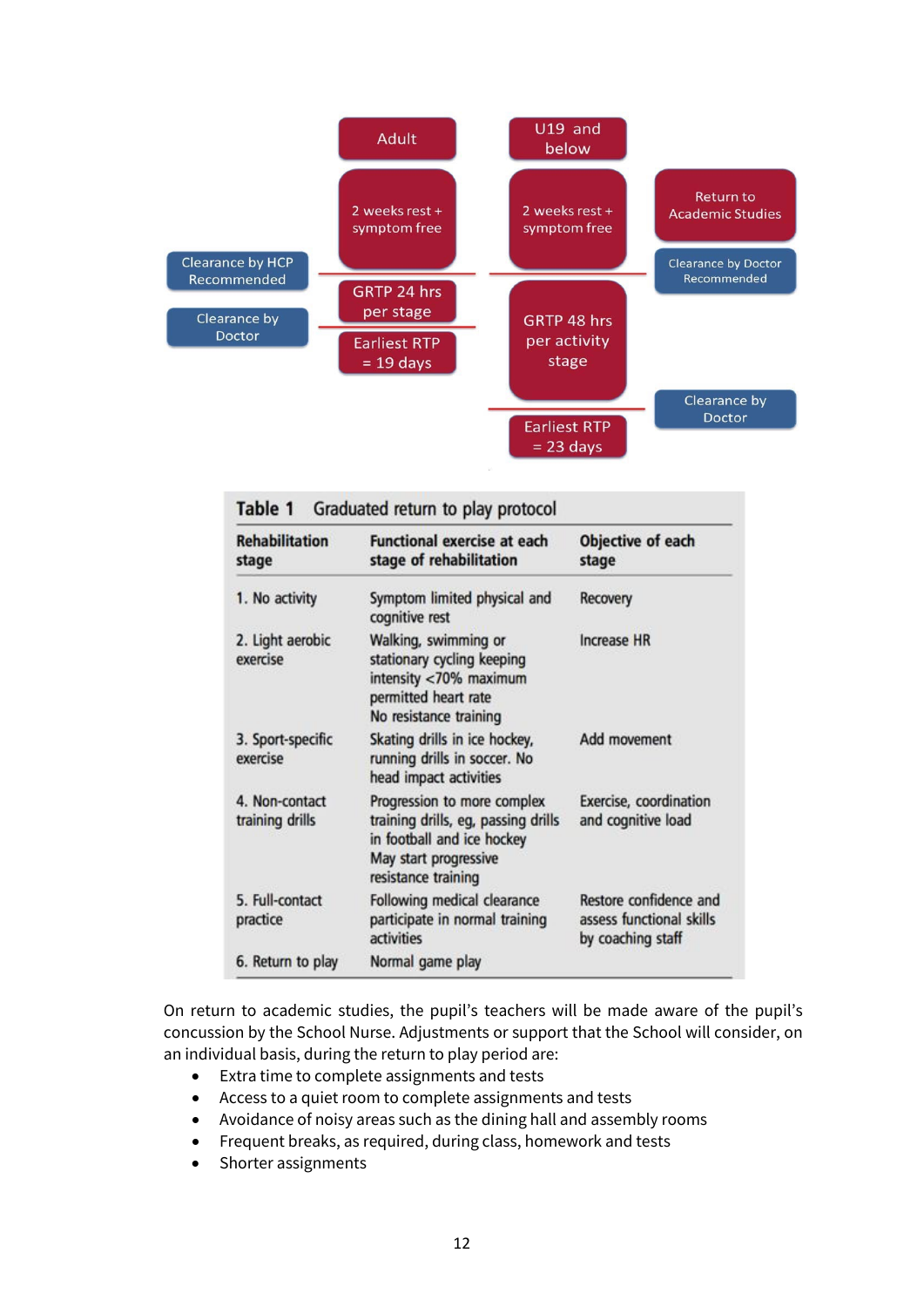

| <b>Rehabilitation</b><br>stage    | <b>Functional exercise at each</b><br>stage of rehabilitation                                                                                    | Objective of each<br>stage                                              |
|-----------------------------------|--------------------------------------------------------------------------------------------------------------------------------------------------|-------------------------------------------------------------------------|
| 1. No activity                    | Symptom limited physical and<br>cognitive rest                                                                                                   | Recovery                                                                |
| 2. Light aerobic<br>exercise      | Walking, swimming or<br>stationary cycling keeping<br>intensity <70% maximum<br>permitted heart rate<br>No resistance training                   | <b>Increase HR</b>                                                      |
| 3. Sport-specific<br>exercise     | Skating drills in ice hockey,<br>running drills in soccer. No<br>head impact activities                                                          | Add movement                                                            |
| 4. Non-contact<br>training drills | Progression to more complex<br>training drills, eg, passing drills<br>in football and ice hockey<br>May start progressive<br>resistance training | Exercise, coordination<br>and cognitive load                            |
| 5. Full-contact<br>practice       | Following medical clearance<br>participate in normal training<br>activities                                                                      | Restore confidence and<br>assess functional skills<br>by coaching staff |
| 6. Return to play                 | Normal game play                                                                                                                                 |                                                                         |

On return to academic studies, the pupil's teachers will be made aware of the pupil's concussion by the School Nurse. Adjustments or support that the School will consider, on an individual basis, during the return to play period are:

- Extra time to complete assignments and tests
- Access to a quiet room to complete assignments and tests
- Avoidance of noisy areas such as the dining hall and assembly rooms
- Frequent breaks, as required, during class, homework and tests
- Shorter assignments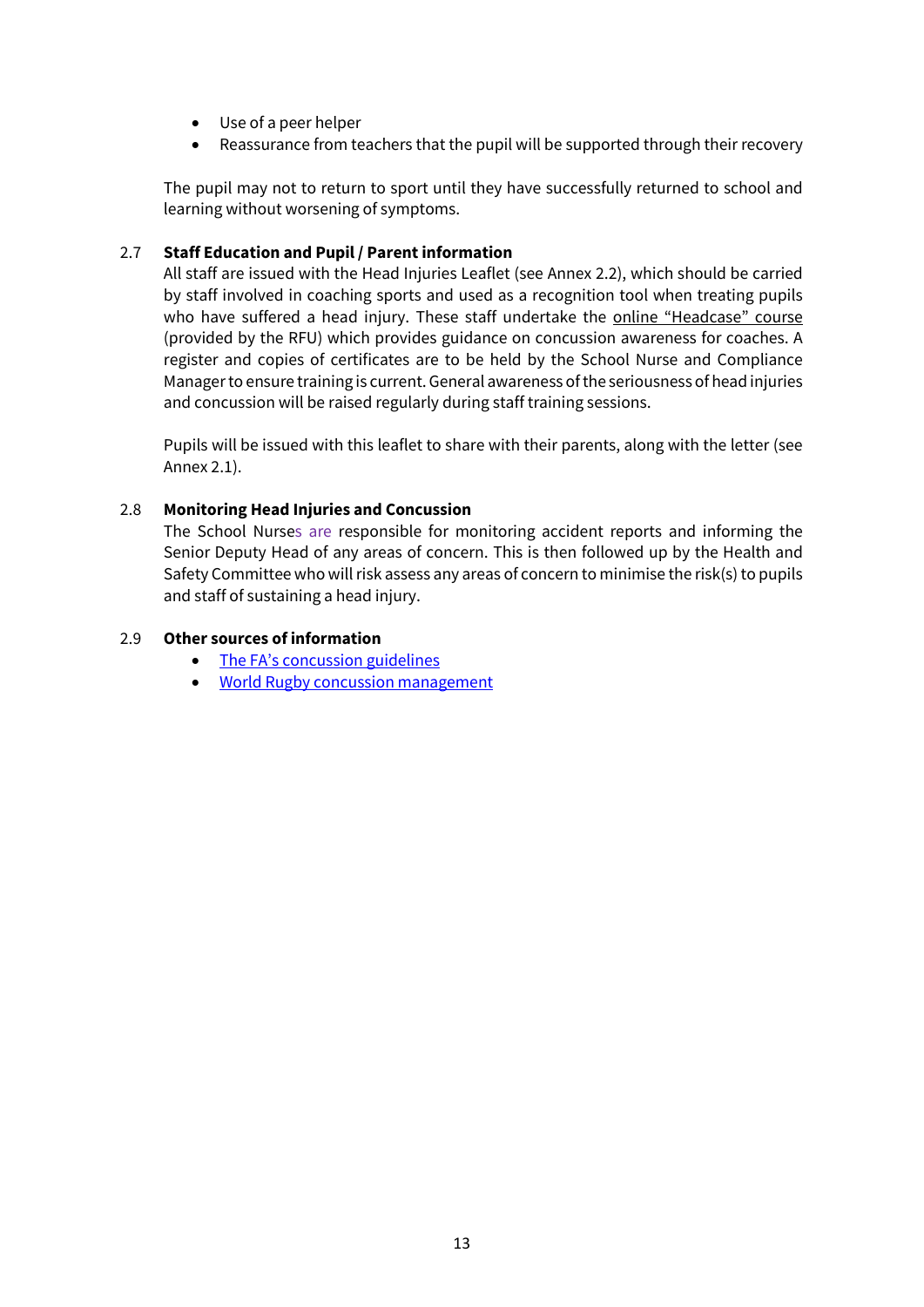- Use of a peer helper
- Reassurance from teachers that the pupil will be supported through their recovery

The pupil may not to return to sport until they have successfully returned to school and learning without worsening of symptoms.

#### 2.7 **Staff Education and Pupil / Parent information**

All staff are issued with the Head Injuries Leaflet (see Annex 2.2), which should be carried by staff involved in coaching sports and used as a recognition tool when treating pupils who have suffered a head injury. These staff undertake the [online "Headcase" course](https://www.englandrugby.com/participation/playing/headcase) (provided by the RFU) which provides guidance on concussion awareness for coaches. A register and copies of certificates are to be held by the School Nurse and Compliance Manager to ensure training is current. General awareness of the seriousness of head injuries and concussion will be raised regularly during staff training sessions.

Pupils will be issued with this leaflet to share with their parents, along with the letter (see Annex 2.1).

#### 2.8 **Monitoring Head Injuries and Concussion**

The School Nurses are responsible for monitoring accident reports and informing the Senior Deputy Head of any areas of concern. This is then followed up by the Health and Safety Committee who will risk assess any areas of concern to minimise the risk(s) to pupils and staff of sustaining a head injury.

#### 2.9 **Other sources of information**

- [The FA's concussion guidelines](http://www.thefa.com/learning/coaching/the-fas-concussion-guidelines)
- [World Rugby concussion management](https://playerwelfare.worldrugby.org/concussion)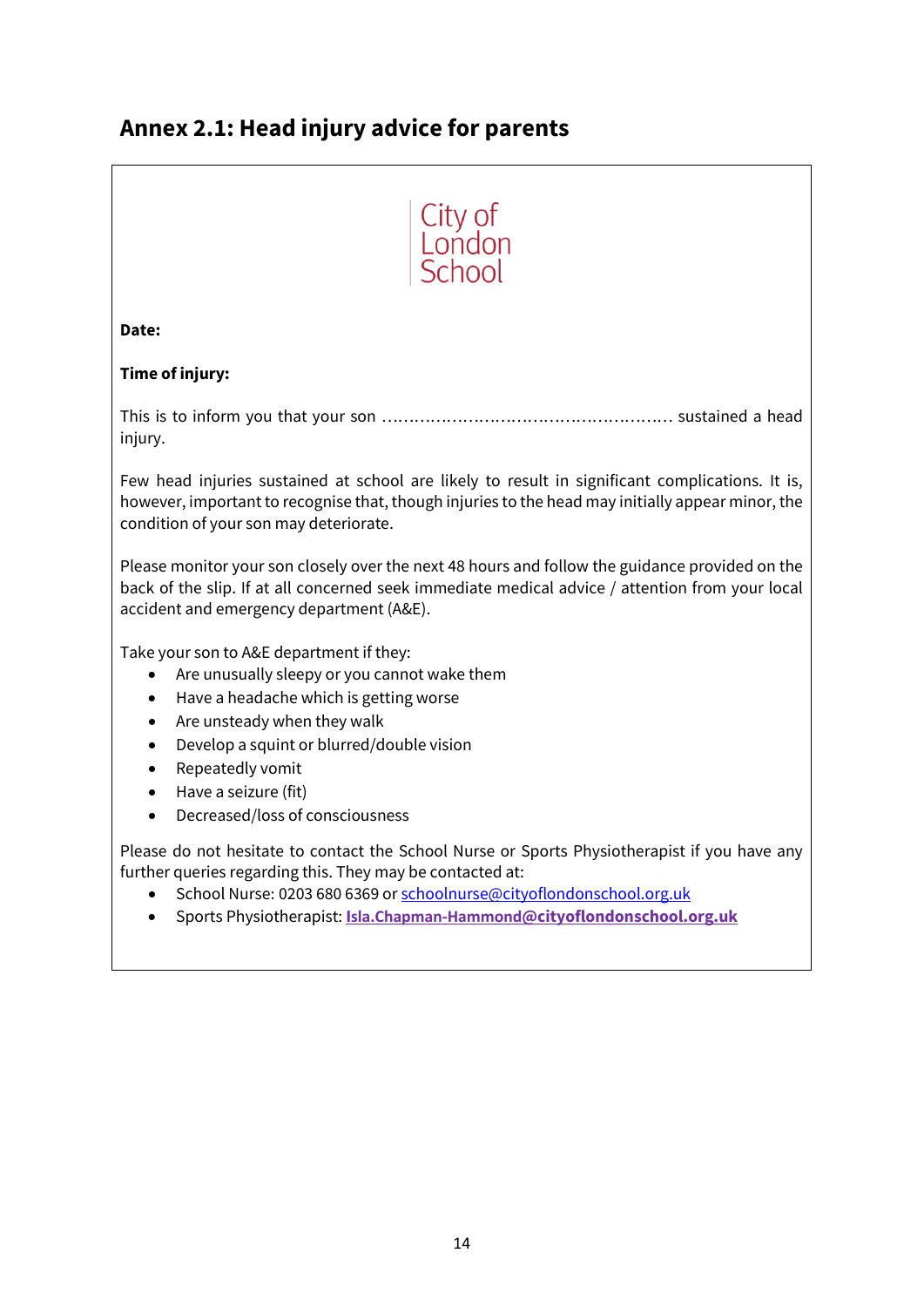## **Annex 2.1: Head injury advice for parents**

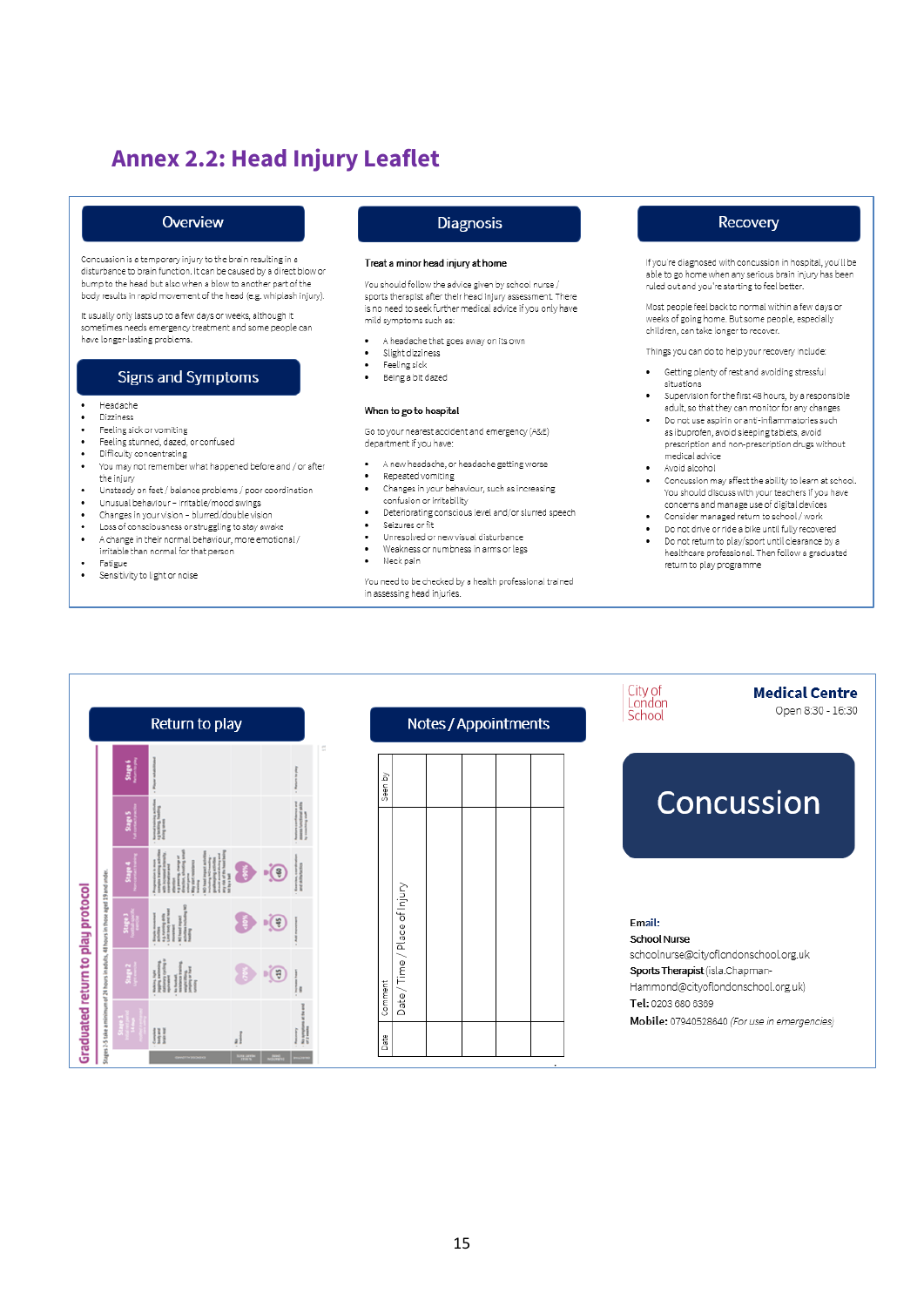## **Annex 2.2: Head Injury Leaflet**

#### Overview

Concussion is a temporary injury to the brain resulting in a disturbance to brain function. It can be caused by a direct blow or bump to the head but also when a blow to another part of the body results in rapid movement of the head (e.g. whiplash injury).

It usually only lasts up to a few days or weeks, although it sometimes needs emergency treatment and some people can have longer-lasting problems.

#### **Signs and Symptoms**

- Headache  $\bullet$
- $\ddot{\phantom{0}}$ Dizziness
- Feeling sick or vomiting  $\bullet$
- Feeling stunned, dazed, or confused  $\bullet$  $\bullet$ Difficulty concentrating
- You may not remember what happened before and / or after .
- the injury
- Unsteady on feet / balance problems / poor coordination  $\ddot{\phantom{0}}$
- Unusual behaviour irritable/mood swings  $\bullet$
- Changes in your vision blurred/double vision
- Loss of consciousness or struggling to stay awake
- $\bullet$ A change in their normal behaviour, more emotional / irritable than normal for that person
- Fatigue
- Sensitivity to light or noise

#### **Diagnosis**

#### Treat a minor head injury at home

You should follow the advice given by school nurse / sports therapist after their head injury assessment. There is no need to seek further medical advice if you only have mild symptoms such as:

- A headache that goes away on its own
- Slight dizziness  $\ddot{\phantom{0}}$
- Feeling sick  $\bullet$ Being a bit dazed

#### When to go to hospital

Go to your nearest accident and emergency (A&E) department if you have:

- $\ddot{\phantom{0}}$ A new headache, or headache getting worse
- Repeated vomiting  $\ddot{\phantom{0}}$ Changes in your behaviour, such as increasing confusion or irritability
- Deteriorating conscious level and/or slurred speech
- $\bullet$ Seizures or fit
- Unresolved or new visual disturbance
- $\bullet$ Weakness or numbness in arms or legs
- $\overline{\phantom{a}}$ Neck pain

You need to be checked by a health professional trained in assessing head injuries.

#### Recovery

If you're diagnosed with concussion in hospital, you'll be able to go home when any serious brain injury has been ruled out and you're starting to feel better

Most people feel back to normal within a few days or weeks of going home. But some people, especially children, can take longer to recover.

Things you can do to help your recovery include:

- Getting plenty of rest and avoiding stressful situations
- Supervision for the first 48 hours, by a responsible adult, so that they can monitor for any changes
- Do not use aspirin or anti-inflammatories such as ibuprofen, avoid sleeping tablets, avoid prescription and non-prescription drugs without medical advice
- Avoid alcohol
- Concussion may affect the ability to learn at school. You should discuss with your teachers if you have concerns and manage use of digital devices
- Consider managed return to school / work
- Do not drive or ride a bike until fully recovered
- Do not return to play/sport until clearance by a healthcare professional. Then follow a graduated return to play programme

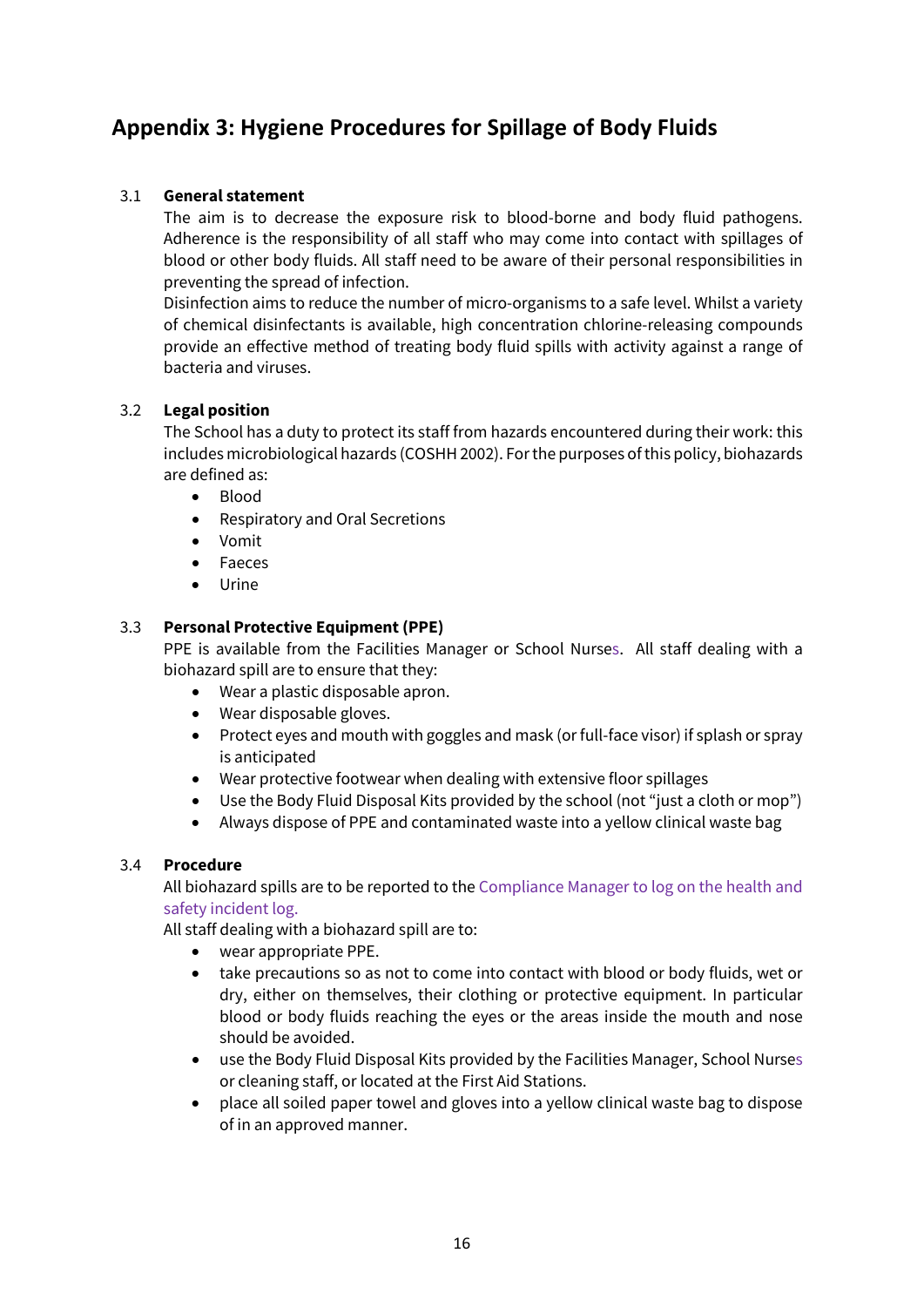### **Appendix 3: Hygiene Procedures for Spillage of Body Fluids**

### 3.1 **General statement**

The aim is to decrease the exposure risk to blood-borne and body fluid pathogens. Adherence is the responsibility of all staff who may come into contact with spillages of blood or other body fluids. All staff need to be aware of their personal responsibilities in preventing the spread of infection.

Disinfection aims to reduce the number of micro-organisms to a safe level. Whilst a variety of chemical disinfectants is available, high concentration chlorine-releasing compounds provide an effective method of treating body fluid spills with activity against a range of bacteria and viruses.

#### 3.2 **Legal position**

The School has a duty to protect its staff from hazards encountered during their work: this includes microbiological hazards (COSHH 2002). For the purposes of this policy, biohazards are defined as:

- Blood
- Respiratory and Oral Secretions
- Vomit
- Faeces
- Urine

#### 3.3 **Personal Protective Equipment (PPE)**

PPE is available from the Facilities Manager or School Nurses. All staff dealing with a biohazard spill are to ensure that they:

- Wear a plastic disposable apron.
- Wear disposable gloves.
- Protect eyes and mouth with goggles and mask (or full-face visor) if splash or spray is anticipated
- Wear protective footwear when dealing with extensive floor spillages
- Use the Body Fluid Disposal Kits provided by the school (not "just a cloth or mop")
- Always dispose of PPE and contaminated waste into a yellow clinical waste bag

#### 3.4 **Procedure**

All biohazard spills are to be reported to the Compliance Manager to log on the health and safety incident log.

All staff dealing with a biohazard spill are to:

- wear appropriate PPE.
- take precautions so as not to come into contact with blood or body fluids, wet or dry, either on themselves, their clothing or protective equipment. In particular blood or body fluids reaching the eyes or the areas inside the mouth and nose should be avoided.
- use the Body Fluid Disposal Kits provided by the Facilities Manager, School Nurses or cleaning staff, or located at the First Aid Stations.
- place all soiled paper towel and gloves into a yellow clinical waste bag to dispose of in an approved manner.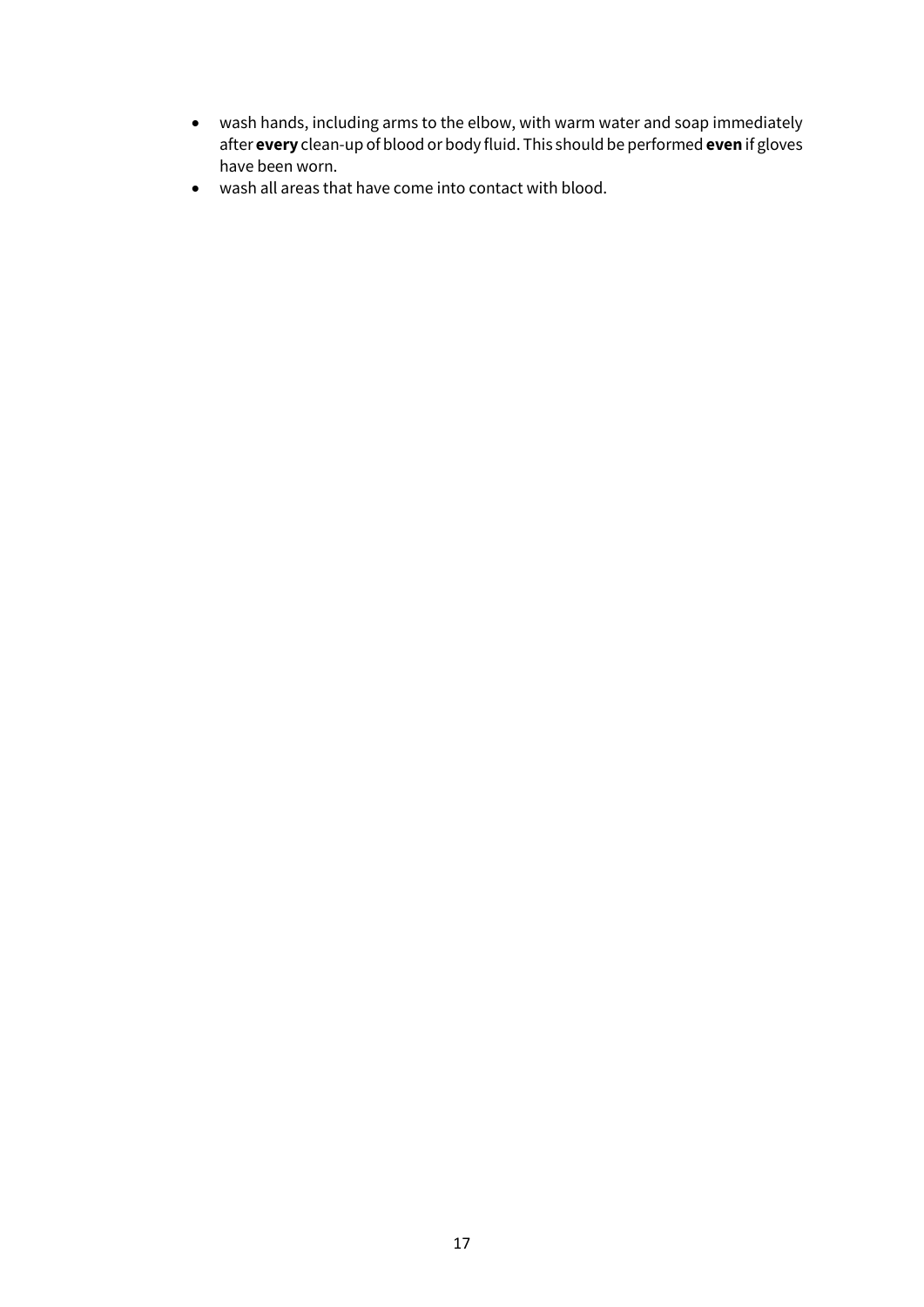- wash hands, including arms to the elbow, with warm water and soap immediately after **every** clean-up of blood or body fluid. This should be performed **even** if gloves have been worn.
- wash all areas that have come into contact with blood.